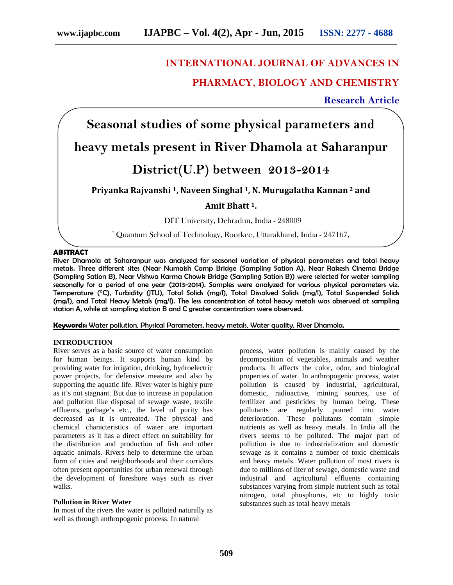## **1 INTERNATIONAL JOURNAL OF ADVANCES IN**

## **PHARMACY, BIOLOGY AND CHEMISTRY**

**Research Article**

# **Seasonal studies of some physical parameters and**

## **heavy metals present in River Dhamola at Saharanpur**

## **District(U.P) between 2013-2014**

### **Priyanka Rajvanshi <sup>1</sup>, Naveen Singhal <sup>1</sup>, N. Murugalatha Kannan <sup>2</sup> and**

### **Amit Bhatt <sup>1</sup>.**

<sup>1</sup> DIT University, Dehradun, India - 248009

<sup>2</sup> Quantum School of Technology, Roorkee, Uttarakhand, India - 247167,

#### **ABSTRACT**

River Dhamola at Saharanpur was analyzed for seasonal variation of physical parameters and total heavy metals. Three different sites (Near Numaish Camp Bridge (Sampling Sation A), Near Rakesh Cinema Bridge (Sampling Sation B), Near Vishwa Karma Chowk Bridge (Sampling Sation B)) were selected for water sampling seasonally for a period of one year (2013-2014). Samples were analyzed for various physical parameters viz. Temperature (°C), Turbidity (JTU), Total Solids (mg/l), Total Dissolved Solids (mg/l), Total Suspended Solids (mg/l), and Total Heavy Metals (mg/l). The less concentration of total heavy metals was observed at sampling station A, while at sampling station B and C greater concentration were observed.

**Keywords:** Water pollution, Physical Parameters, heavy metals, Water quality, River Dhamola.

#### **INTRODUCTION**

River serves as a basic source of water consumption for human beings. It supports human kind by providing water for irrigation, drinking, hydroelectric power projects, for defensive measure and also by supporting the aquatic life. River water is highly pure as it's not stagnant. But due to increase in population and pollution like disposal of sewage waste, textile effluents, garbage's etc., the level of purity has decreased as it is untreated. The physical and chemical characteristics of water are important parameters as it has a direct effect on suitability for the distribution and production of fish and other aquatic animals. Rivers help to determine the urban form of cities and neighborhoods and their corridors often present opportunities for urban renewal through the development of foreshore ways such as river walks.

#### **Pollution in River Water**

In most of the rivers the water is polluted naturally as well as through anthropogenic process. In natural

process, water pollution is mainly caused by the decomposition of vegetables, animals and weather products. It affects the color, odor, and biological properties of water. In anthropogenic process, water pollution is caused by industrial, agricultural, domestic, radioactive, mining sources, use of fertilizer and pesticides by human being. These pollutants are regularly poured into water deterioration. These pollutants contain simple nutrients as well as heavy metals. In India all the rivers seems to be polluted. The major part of pollution is due to industrialization and domestic sewage as it contains a number of toxic chemicals and heavy metals. Water pollution of most rivers is due to millions of liter of sewage, domestic waste and industrial and agricultural effluents containing substances varying from simple nutrient such as total nitrogen, total phosphorus, etc to highly toxic substances such as total heavy metals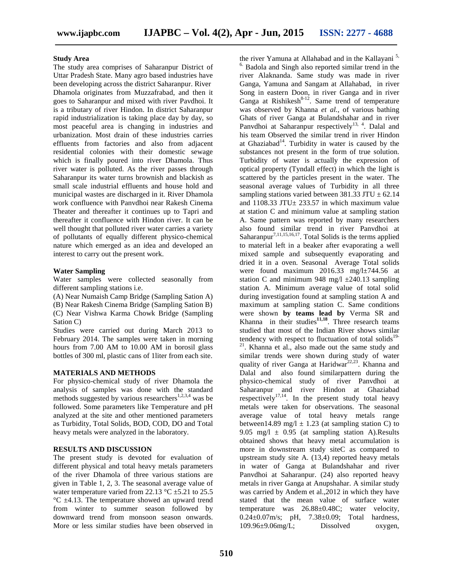#### **Study Area**

The study area comprises of Saharanpur District of Uttar Pradesh State. Many agro based industries have been developing across the district Saharanpur. River Dhamola originates from Muzzafrabad, and then it goes to Saharanpur and mixed with river Pavdhoi. It is a tributary of river Hindon. In district Saharanpur rapid industrialization is taking place day by day, so most peaceful area is changing in industries and urbanization. Most drain of these industries carries effluents from factories and also from adjacent residential colonies with their domestic sewage which is finally poured into river Dhamola. Thus river water is polluted. As the river passes through Saharanpur its water turns brownish and blackish as small scale industrial effluents and house hold and municipal wastes are discharged in it. River Dhamola work confluence with Panvdhoi near Rakesh Cinema Theater and thereafter it continues up to Tapri and thereafter it confluence with Hindon river. It can be well thought that polluted river water carries a variety of pollutants of equally different physico-chemical nature which emerged as an idea and developed an interest to carry out the present work.

#### **Water Sampling**

Water samples were collected seasonally from different sampling stations i.e.

(A) Near Numaish Camp Bridge (Sampling Sation A) (B) Near Rakesh Cinema Bridge (Sampling Sation B) (C) Near Vishwa Karma Chowk Bridge (Sampling Sation C)

Studies were carried out during March 2013 to February 2014. The samples were taken in morning hours from 7.00 AM to 10.00 AM in borosil glass bottles of 300 ml, plastic cans of 1liter from each site.

#### **MATERIALS AND METHODS**

For physico-chemical study of river Dhamola the analysis of samples was done with the standard methods suggested by various researchers<sup>1,2,3,4</sup> was be followed. Some parameters like Temperature and pH analyzed at the site and other mentioned parameters as Turbidity, Total Solids, BOD, COD, DO and Total heavy metals were analyzed in the laboratory.

#### **RESULTS AND DISCUSSION**

The present study is devoted for evaluation of different physical and total heavy metals parameters of the river Dhamola of three various stations are given in Table 1, 2, 3. The seasonal average value of water temperature varied from 22.13  $\degree$ C  $\pm$ 5.21 to 25.5 °C ±4.13. The temperature showed an upward trend from winter to summer season followed by downward trend from monsoon season onwards. More or less similar studies have been observed in

the river Yamuna at Allahabad and in the Kallayani<sup>5,</sup> Badola and Singh also reported similar trend in the river Alaknanda. Same study was made in river Ganga, Yamuna and Sangam at Allahabad, in river Song in eastern Doon, in river Ganga and in river Ganga at Rishikesh $8-12$ . Same trend of temperature was observed by Khanna *et al.*, of various bathing Ghats of river Ganga at Bulandshahar and in river Panvdhoi at Saharanpur respectively<sup>13, 4</sup>. Dalal and his team Observed the similar trend in river Hindon at Ghaziabad<sup>14</sup>. Turbidity in water is caused by the substances not present in the form of true solution. Turbidity of water is actually the expression of optical property (Tyndall effect) in which the light is scattered by the particles present in the water. The seasonal average values of Turbidity in all three sampling stations varied between 381.33 JTU  $\pm$  62.14 and  $1108.33$  JTU $\pm$  233.57 in which maximum value at station C and minimum value at sampling station A. Same pattern was reported by many researchers also found similar trend in river Panvdhoi at Saharanpur<sup>7,11,15,16,17</sup>. Total Solids is the terms applied to material left in a beaker after evaporating a well mixed sample and subsequently evaporating and dried it in a oven. Seasonal Average Total solids were found maximum 2016.33 mg/l±744.56 at station C and minimum 948 mg/l  $\pm$ 240.13 sampling station A. Minimum average value of total solid during investigation found at sampling station A and maximum at sampling station C. Same conditions were shown **by teams lead by** Verma SR and Khanna in their studies**11,18** . Three research teams studied that most of the Indian River shows similar tendency with respect to fluctuation of total solids<sup>19-</sup> <sup>21</sup>. Khanna et al., also made out the same study and similar trends were shown during study of water quality of river Ganga at Haridwar<sup>22,23</sup>. Khanna and Dalal and also found similarpattern during the physico-chemical study of river Panvdhoi at Saharanpur and river Hindon at Ghaziabad respectively<sup>17,14</sup>. In the present study total heavy metals were taken for observations. The seasonal average value of total heavy metals range between14.89 mg/l  $\pm$  1.23 (at sampling station C) to 9.05 mg/l  $\pm$  0.95 (at sampling station A). Results obtained shows that heavy metal accumulation is more in downstream study siteC as compared to upstream study site A. (13,4) reported heavy metals in water of Ganga at Bulandshahar and river Panvdhoi at Saharanpur. (24) also reported heavy metals in river Ganga at Anupshahar. A similar study was carried by Andem et al.,2012 in which they have stated that the mean value of surface water temperature was 26.88±0.48C; water velocity, 0.24 $\pm$ 0.07m/s; pH, 7.38 $\pm$ 0.09; Total hardness, 109.96±9.06mg/L; Dissolved oxygen,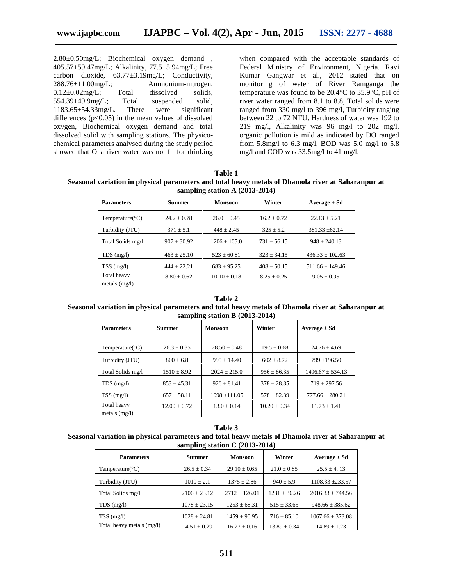2.80±0.50mg/L; Biochemical oxygen demand , 405.57±59.47mg/L; Alkalinity, 77.5±5.94mg/L; Free carbon dioxide, 63.77±3.19mg/L; Conductivity, 288.76±11.00mg/L; Ammonium-nitrogen, 0.12±0.02mg/L; Total dissolved solids, 554.39±49.9mg/L; Total suspended solid, 1183.65±54.33mg/L. There were significant differences  $(p<0.05)$  in the mean values of dissolved oxygen, Biochemical oxygen demand and total dissolved solid with sampling stations. The physico chemical parameters analysed during the study period showed that Ona river water was not fit for drinking when compared with the acceptable standards of Federal Ministry of Environment, Nigeria. Ravi Kumar Gangwar et al., 2012 stated that on monitoring of water of River Ramganga the temperature was found to be 20.4°C to 35.9°C, pH of river water ranged from 8.1 to 8.8, Total solids were ranged from 330 mg/l to 396 mg/l, Turbidity ranging between 22 to 72 NTU, Hardness of water was 192 to 219 mg/l, Alkalinity was 96 mg/l to 202 mg/l, organic pollution is mild as indicated by DO ranged from 5.8mg/l to 6.3 mg/l, BOD was 5.0 mg/l to 5.8 mg/l and COD was 33.5mg/l to 41 mg/l.

**Table 1 Seasonal variation in physical parameters and total heavy metals of Dhamola river at Saharanpur at sampling station A (2013-2014)**

| <b>Parameters</b>              | <b>Summer</b>   | <b>Monsoon</b>  | Winter          | $Average \pm Sd$    |
|--------------------------------|-----------------|-----------------|-----------------|---------------------|
| Temperature( ${}^{\circ}$ C)   | $24.2 + 0.78$   | $26.0 \pm 0.45$ | $16.2 + 0.72$   | $22.13 \pm 5.21$    |
| Turbidity (JTU)                | $371 \pm 5.1$   | $448 \pm 2.45$  | $325 \pm 5.2$   | $381.33 \pm 62.14$  |
| Total Solids mg/l              | $907 + 30.92$   | $1206 + 105.0$  | $731 + 56.15$   | $948 + 240.13$      |
| $TDS$ (mg/l)                   | $463 \pm 25.10$ | $523 + 60.81$   | $323 \pm 34.15$ | $436.33 \pm 102.63$ |
| TSS(mg/l)                      | $444 + 22.21$   | $683 \pm 95.25$ | $408 \pm 50.15$ | $511.66 \pm 149.46$ |
| Total heavy<br>metals $(mg/l)$ | $8.80 + 0.62$   | $10.10 + 0.18$  | $8.25 + 0.25$   | $9.05 \pm 0.95$     |

## **Table 2**

#### **Seasonal variation in physical parameters and total heavy metals of Dhamola river at Saharanpur at sampling station B (2013-2014)**

| <b>Parameters</b>              | <b>Summer</b>   | Winter<br><b>Monsoon</b> |                | Average $\pm$ Sd    |
|--------------------------------|-----------------|--------------------------|----------------|---------------------|
| Temperature( ${}^{\circ}C$ )   | $26.3 + 0.35$   | $28.50 + 0.48$           | $19.5 + 0.68$  | $24.76 + 4.69$      |
| Turbidity (JTU)                | $800 \pm 6.8$   | $995 + 14.40$            | $602 + 8.72$   | $799 \pm 196.50$    |
| Total Solids mg/l              | $1510 \pm 8.92$ | $2024 + 215.0$           | $956 + 86.35$  | $1496.67 + 534.13$  |
| $TDS$ (mg/l)                   | $853 + 45.31$   | $926 + 81.41$            | $378 + 28.85$  | $719 + 297.56$      |
| $TSS$ (mg/l)                   | $657 \pm 58.11$ | $1098 + 111.05$          | $578 + 82.39$  | $777.66 \pm 280.21$ |
| Total heavy<br>metals $(mg/l)$ | $12.00 + 0.72$  | $13.0 + 0.14$            | $10.20 + 0.34$ | $11.73 + 1.41$      |

#### **Table 3**

#### **Seasonal variation in physical parameters and total heavy metals of Dhamola river at Saharanpur at sampling station C (2013-2014)**

| <b>Parameters</b>            | <b>Summer</b>    | <b>Monsoon</b>    | Winter           | $Average \pm Sd$     |
|------------------------------|------------------|-------------------|------------------|----------------------|
| Temperature( ${}^{\circ}$ C) | $26.5 \pm 0.34$  | $29.10 \pm 0.65$  | $21.0 \pm 0.85$  | $25.5 + 4.13$        |
| Turbidity (JTU)              | $1010 \pm 2.1$   | $1375 \pm 2.86$   | $940 \pm 5.9$    | $1108.33 + 233.57$   |
| Total Solids mg/l            | $2106 \pm 23.12$ | $2712 \pm 126.01$ | $1231 \pm 36.26$ | $2016.33 \pm 744.56$ |
| $TDS$ (mg/l)                 | $1078 \pm 23.15$ | $1253 \pm 68.31$  | $515 \pm 33.65$  | $948.66 \pm 385.62$  |
| $TSS$ (mg/l)                 | $1028 \pm 24.81$ | $1459 \pm 90.95$  | $716 \pm 85.10$  | $1067.66 \pm 373.08$ |
| Total heavy metals (mg/l)    | $14.51 \pm 0.29$ | $16.27 \pm 0.16$  | $13.89 \pm 0.34$ | $14.89 \pm 1.23$     |